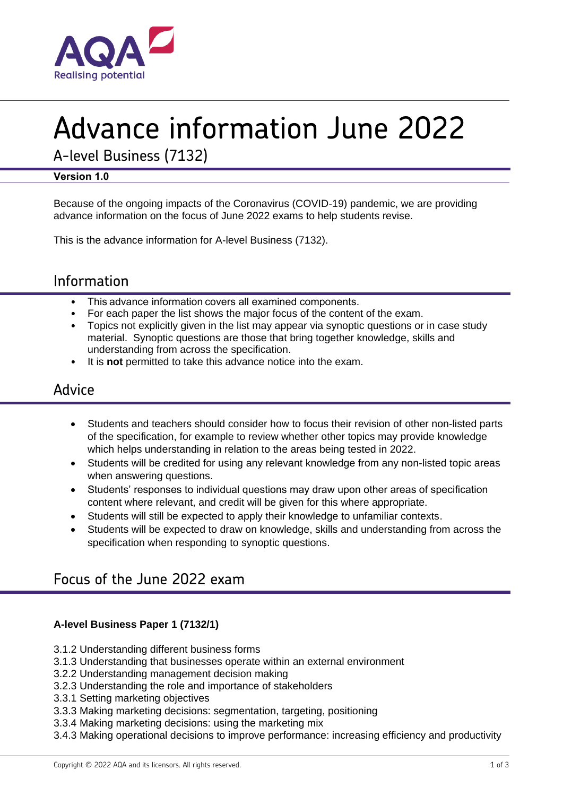

# Advance information June 2022

A-level Business (7132)

## **Version 1.0**

Because of the ongoing impacts of the Coronavirus (COVID-19) pandemic, we are providing advance information on the focus of June 2022 exams to help students revise.

This is the advance information for A-level Business (7132).

# Information

- This advance information covers all examined components.
- For each paper the list shows the major focus of the content of the exam.
- Topics not explicitly given in the list may appear via synoptic questions or in case study material. Synoptic questions are those that bring together knowledge, skills and understanding from across the specification.
- It is **not** permitted to take this advance notice into the exam.

# Advice

- Students and teachers should consider how to focus their revision of other non-listed parts of the specification, for example to review whether other topics may provide knowledge which helps understanding in relation to the areas being tested in 2022.
- Students will be credited for using any relevant knowledge from any non-listed topic areas when answering questions.
- Students' responses to individual questions may draw upon other areas of specification content where relevant, and credit will be given for this where appropriate.
- Students will still be expected to apply their knowledge to unfamiliar contexts.
- Students will be expected to draw on knowledge, skills and understanding from across the specification when responding to synoptic questions.

# Focus of the June 2022 exam

### **A-level Business Paper 1 (7132/1)**

- 3.1.2 Understanding different business forms
- 3.1.3 Understanding that businesses operate within an external environment
- 3.2.2 Understanding management decision making
- 3.2.3 Understanding the role and importance of stakeholders
- 3.3.1 Setting marketing objectives
- 3.3.3 Making marketing decisions: segmentation, targeting, positioning
- 3.3.4 Making marketing decisions: using the marketing mix
- 3.4.3 Making operational decisions to improve performance: increasing efficiency and productivity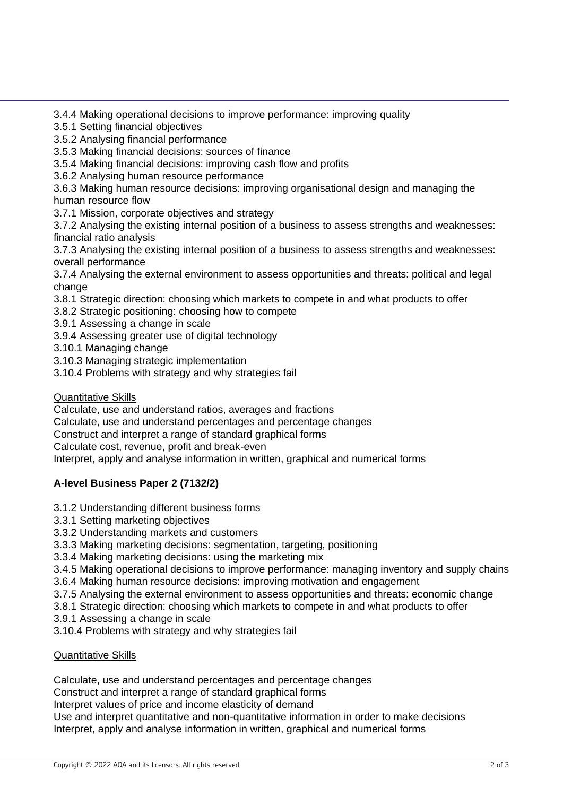3.4.4 Making operational decisions to improve performance: improving quality

- 3.5.1 Setting financial objectives
- 3.5.2 Analysing financial performance
- 3.5.3 Making financial decisions: sources of finance
- 3.5.4 Making financial decisions: improving cash flow and profits
- 3.6.2 Analysing human resource performance

3.6.3 Making human resource decisions: improving organisational design and managing the human resource flow

3.7.1 Mission, corporate objectives and strategy

3.7.2 Analysing the existing internal position of a business to assess strengths and weaknesses: financial ratio analysis

3.7.3 Analysing the existing internal position of a business to assess strengths and weaknesses: overall performance

3.7.4 Analysing the external environment to assess opportunities and threats: political and legal change

3.8.1 Strategic direction: choosing which markets to compete in and what products to offer

3.8.2 Strategic positioning: choosing how to compete

- 3.9.1 Assessing a change in scale
- 3.9.4 Assessing greater use of digital technology
- 3.10.1 Managing change
- 3.10.3 Managing strategic implementation
- 3.10.4 Problems with strategy and why strategies fail

**Quantitative Skills** 

Calculate, use and understand ratios, averages and fractions

- Calculate, use and understand percentages and percentage changes
- Construct and interpret a range of standard graphical forms

Calculate cost, revenue, profit and break-even

Interpret, apply and analyse information in written, graphical and numerical forms

## **A-level Business Paper 2 (7132/2)**

- 3.1.2 Understanding different business forms
- 3.3.1 Setting marketing objectives
- 3.3.2 Understanding markets and customers
- 3.3.3 Making marketing decisions: segmentation, targeting, positioning
- 3.3.4 Making marketing decisions: using the marketing mix

3.4.5 Making operational decisions to improve performance: managing inventory and supply chains

- 3.6.4 Making human resource decisions: improving motivation and engagement
- 3.7.5 Analysing the external environment to assess opportunities and threats: economic change
- 3.8.1 Strategic direction: choosing which markets to compete in and what products to offer
- 3.9.1 Assessing a change in scale
- 3.10.4 Problems with strategy and why strategies fail

#### Quantitative Skills

Calculate, use and understand percentages and percentage changes

Construct and interpret a range of standard graphical forms

Interpret values of price and income elasticity of demand

Use and interpret quantitative and non-quantitative information in order to make decisions Interpret, apply and analyse information in written, graphical and numerical forms